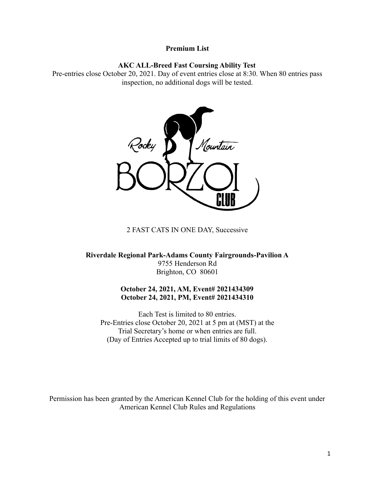## **Premium List**

## **AKC ALL-Breed Fast Coursing Ability Test**

Pre-entries close October 20, 2021. Day of event entries close at 8:30. When 80 entries pass inspection, no additional dogs will be tested.



2 FAST CATS IN ONE DAY, Successive

**Riverdale Regional Park-Adams County Fairgrounds-Pavilion A** 9755 Henderson Rd Brighton, CO 80601

# **October 24, 2021, AM, Event# 2021434309 October 24, 2021, PM, Event# 2021434310**

Each Test is limited to 80 entries. Pre-Entries close October 20, 2021 at 5 pm at (MST) at the Trial Secretary's home or when entries are full. (Day of Entries Accepted up to trial limits of 80 dogs).

Permission has been granted by the American Kennel Club for the holding of this event under American Kennel Club Rules and Regulations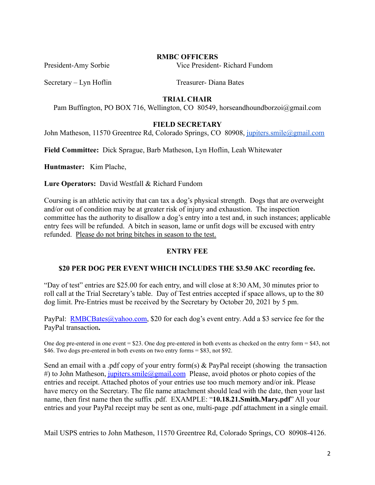## **RMBC OFFICERS**

President-Amy Sorbie Vice President- Richard Fundom

Secretary – Lyn Hoflin Treasurer- Diana Bates

# **TRIAL CHAIR**

Pam Buffington, PO BOX 716, Wellington, CO 80549, horseandhoundborzoi@gmail.com

# **FIELD SECRETARY**

John Matheson, 11570 Greentree Rd, Colorado Springs, CO 80908, [jupiters.smile@gmail.com](mailto:jupiters.smile@gmail.com)

**Field Committee:** Dick Sprague, Barb Matheson, Lyn Hoflin, Leah Whitewater

**Huntmaster:** Kim Plache,

**Lure Operators:** David Westfall & Richard Fundom

Coursing is an athletic activity that can tax a dog's physical strength. Dogs that are overweight and/or out of condition may be at greater risk of injury and exhaustion. The inspection committee has the authority to disallow a dog's entry into a test and, in such instances; applicable entry fees will be refunded. A bitch in season, lame or unfit dogs will be excused with entry refunded. Please do not bring bitches in season to the test.

# **ENTRY FEE**

## **\$20 PER DOG PER EVENT WHICH INCLUDES THE \$3.50 AKC recording fee.**

"Day of test" entries are \$25.00 for each entry, and will close at 8:30 AM, 30 minutes prior to roll call at the Trial Secretary's table. Day of Test entries accepted if space allows, up to the 80 dog limit. Pre-Entries must be received by the Secretary by October 20, 2021 by 5 pm.

PayPal: [RMBCBates@yahoo.com](mailto:RMBCBates@yahoo.com), \$20 for each dog's event entry. Add a \$3 service fee for the PayPal transaction**.**

One dog pre-entered in one event = \$23. One dog pre-entered in both events as checked on the entry form = \$43, not \$46. Two dogs pre-entered in both events on two entry forms = \$83, not \$92.

Send an email with a .pdf copy of your entry form(s) & PayPal receipt (showing the transaction #) to John Matheson, *[jupiters.smile@gmail.com](mailto:jupiters.smile@gmail.com)* Please, avoid photos or photo copies of the entries and receipt. Attached photos of your entries use too much memory and/or ink. Please have mercy on the Secretary. The file name attachment should lead with the date, then your last name, then first name then the suffix .pdf. EXAMPLE: "**10.18.21.Smith.Mary.pdf**" All your entries and your PayPal receipt may be sent as one, multi-page .pdf attachment in a single email.

Mail USPS entries to John Matheson, 11570 Greentree Rd, Colorado Springs, CO 80908-4126.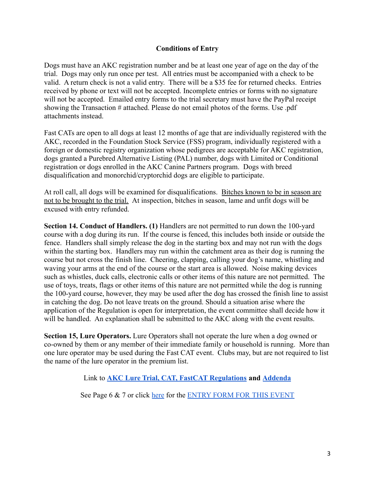# **Conditions of Entry**

Dogs must have an AKC registration number and be at least one year of age on the day of the trial. Dogs may only run once per test. All entries must be accompanied with a check to be valid. A return check is not a valid entry. There will be a \$35 fee for returned checks. Entries received by phone or text will not be accepted. Incomplete entries or forms with no signature will not be accepted. Emailed entry forms to the trial secretary must have the PayPal receipt showing the Transaction # attached. Please do not email photos of the forms. Use .pdf attachments instead.

Fast CATs are open to all dogs at least 12 months of age that are individually registered with the AKC, recorded in the Foundation Stock Service (FSS) program, individually registered with a foreign or domestic registry organization whose pedigrees are acceptable for AKC registration, dogs granted a Purebred Alternative Listing (PAL) number, dogs with Limited or Conditional registration or dogs enrolled in the AKC Canine Partners program. Dogs with breed disqualification and monorchid/cryptorchid dogs are eligible to participate.

At roll call, all dogs will be examined for disqualifications. Bitches known to be in season are not to be brought to the trial. At inspection, bitches in season, lame and unfit dogs will be excused with entry refunded.

**Section 14. Conduct of Handlers. (1)** Handlers are not permitted to run down the 100-yard course with a dog during its run. If the course is fenced, this includes both inside or outside the fence. Handlers shall simply release the dog in the starting box and may not run with the dogs within the starting box. Handlers may run within the catchment area as their dog is running the course but not cross the finish line. Cheering, clapping, calling your dog's name, whistling and waving your arms at the end of the course or the start area is allowed. Noise making devices such as whistles, duck calls, electronic calls or other items of this nature are not permitted. The use of toys, treats, flags or other items of this nature are not permitted while the dog is running the 100-yard course, however, they may be used after the dog has crossed the finish line to assist in catching the dog. Do not leave treats on the ground. Should a situation arise where the application of the Regulation is open for interpretation, the event committee shall decide how it will be handled. An explanation shall be submitted to the AKC along with the event results.

**Section 15, Lure Operators.** Lure Operators shall not operate the lure when a dog owned or co-owned by them or any member of their immediate family or household is running. More than one lure operator may be used during the Fast CAT event. Clubs may, but are not required to list the name of the lure operator in the premium list.

Link to **[AKC Lure Trial, CAT, FastCAT Regulations](https://images.akc.org/pdf/rulebooks/RELURE.pdf) and [Addenda](https://www.akc.org/sports/coursing/fast-cat/regulations/)**

See Page 6 & 7 or click [here](https://docs.google.com/document/u/0/d/17w6Ma4mGycjkMOdIgLRpmybfzBUluXo9cudR-D_jZKc/edit) for the [ENTRY FORM FOR](https://docs.google.com/document/d/17w6Ma4mGycjkMOdIgLRpmybfzBUluXo9cudR-D_jZKc/edit?usp=sharing) THIS EVENT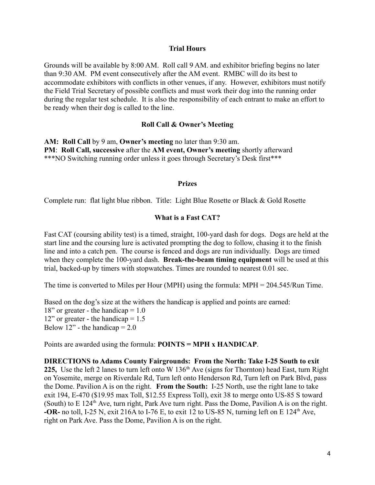## **Trial Hours**

Grounds will be available by 8:00 AM. Roll call 9 AM. and exhibitor briefing begins no later than 9:30 AM. PM event consecutively after the AM event. RMBC will do its best to accommodate exhibitors with conflicts in other venues, if any. However, exhibitors must notify the Field Trial Secretary of possible conflicts and must work their dog into the running order during the regular test schedule. It is also the responsibility of each entrant to make an effort to be ready when their dog is called to the line.

### **Roll Call & Owner's Meeting**

**AM: Roll Call** by 9 am, **Owner's meeting** no later than 9:30 am. **PM**: **Roll Call, successive** after the **AM event, Owner's meeting** shortly afterward \*\*\*NO Switching running order unless it goes through Secretary's Desk first\*\*\*

#### **Prizes**

Complete run: flat light blue ribbon. Title: Light Blue Rosette or Black & Gold Rosette

#### **What is a Fast CAT?**

Fast CAT (coursing ability test) is a timed, straight, 100-yard dash for dogs. Dogs are held at the start line and the coursing lure is activated prompting the dog to follow, chasing it to the finish line and into a catch pen. The course is fenced and dogs are run individually. Dogs are timed when they complete the 100-yard dash. **Break-the-beam timing equipment** will be used at this trial, backed-up by timers with stopwatches. Times are rounded to nearest 0.01 sec.

The time is converted to Miles per Hour (MPH) using the formula: MPH = 204.545/Run Time.

Based on the dog's size at the withers the handicap is applied and points are earned: 18" or greater - the handicap  $= 1.0$  $12$ " or greater - the handicap = 1.5 Below  $12$ " - the handicap = 2.0

Points are awarded using the formula: **POINTS = MPH x HANDICAP**.

**DIRECTIONS to Adams County Fairgrounds: From the North: Take I-25 South to exit** 225, Use the left 2 lanes to turn left onto W 136<sup>th</sup> Ave (signs for Thornton) head East, turn Right on Yosemite, merge on Riverdale Rd, Turn left onto Henderson Rd, Turn left on Park Blvd, pass the Dome. Pavilion A is on the right. **From the South:** I-25 North, use the right lane to take exit 194, E-470 (\$19.95 max Toll, \$12.55 Express Toll), exit 38 to merge onto US-85 S toward (South) to  $E 124<sup>th</sup>$  Ave, turn right, Park Ave turn right. Pass the Dome, Pavilion A is on the right. **-OR-** no toll, I-25 N, exit 216A to I-76 E, to exit 12 to US-85 N, turning left on E  $124<sup>th</sup>$  Ave, right on Park Ave. Pass the Dome, Pavilion A is on the right.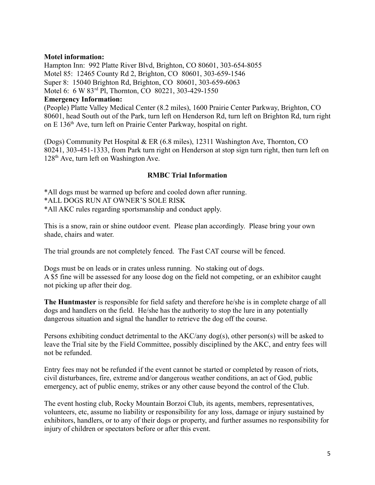# **Motel information:**

Hampton Inn: 992 Platte River Blvd, Brighton, CO 80601, 303-654-8055 Motel 85: 12465 County Rd 2, Brighton, CO 80601, 303-659-1546 Super 8: 15040 Brighton Rd, Brighton, CO 80601, 303-659-6063 Motel 6: 6 W 83rd Pl, Thornton, CO 80221, 303-429-1550 **Emergency Information:** (People) Platte Valley Medical Center (8.2 miles), 1600 Prairie Center Parkway, Brighton, CO

80601, head South out of the Park, turn left on Henderson Rd, turn left on Brighton Rd, turn right on E 136th Ave, turn left on Prairie Center Parkway, hospital on right.

(Dogs) Community Pet Hospital & ER (6.8 miles), 12311 Washington Ave, Thornton, CO 80241, 303-451-1333, from Park turn right on Henderson at stop sign turn right, then turn left on 128th Ave, turn left on Washington Ave.

# **RMBC Trial Information**

\*All dogs must be warmed up before and cooled down after running. \*ALL DOGS RUN AT OWNER'S SOLE RISK \*All AKC rules regarding sportsmanship and conduct apply.

This is a snow, rain or shine outdoor event. Please plan accordingly. Please bring your own shade, chairs and water.

The trial grounds are not completely fenced. The Fast CAT course will be fenced.

Dogs must be on leads or in crates unless running. No staking out of dogs. A \$5 fine will be assessed for any loose dog on the field not competing, or an exhibitor caught not picking up after their dog.

**The Huntmaster** is responsible for field safety and therefore he/she is in complete charge of all dogs and handlers on the field. He/she has the authority to stop the lure in any potentially dangerous situation and signal the handler to retrieve the dog off the course.

Persons exhibiting conduct detrimental to the AKC/any dog(s), other person(s) will be asked to leave the Trial site by the Field Committee, possibly disciplined by the AKC, and entry fees will not be refunded.

Entry fees may not be refunded if the event cannot be started or completed by reason of riots, civil disturbances, fire, extreme and/or dangerous weather conditions, an act of God, public emergency, act of public enemy, strikes or any other cause beyond the control of the Club.

The event hosting club, Rocky Mountain Borzoi Club, its agents, members, representatives, volunteers, etc, assume no liability or responsibility for any loss, damage or injury sustained by exhibitors, handlers, or to any of their dogs or property, and further assumes no responsibility for injury of children or spectators before or after this event.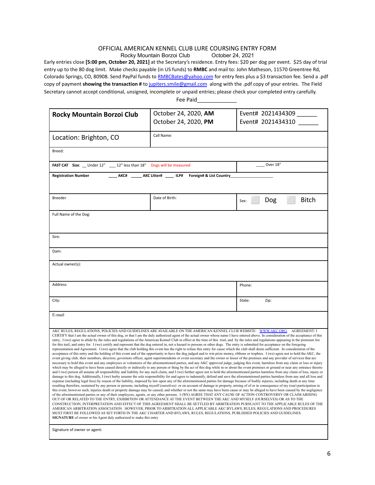#### OFFICIAL AMERICAN KENNEL CLUB LURE COURSING ENTRY FORM<br>Rocky Mountain Borzoi Club (24. 2021 Rocky Mountain Borzoi Club

Early entries close **[5:00 pm, October 20, 2021]** at the Secretary's residence. Entry fees: \$20 per dog per event. \$25 day of trial entry up to the 80 dog limit. Make checks payable (in US funds) to **RMBC** and mail to: John Matheson, 11570 Greentree Rd, Colorado Springs, CO, 80908. Send PayPal funds to [RMBCBates@yahoo.com](mailto:RMBCBates@yahoo.com) for entry fees plus a \$3 transaction fee. Send a .pdf copy of payment **showing the transaction #** to [jupiters.smile@gmail.com](mailto:jupiters.smile@gmail.com) along with the .pdf copy of your entries. The Field Secretary cannot accept conditional, unsigned, incomplete or unpaid entries; please check your completed entry carefully. Fee Paid

| <b>Rocky Mountain Borzoi Club</b>                                                                                                                                                                                                                                                                                                                                                                                                                                                                                                                                                                                                                                                                                                                                                                                                                                                                                                                                                                                                                                                                                                                                                                                                                                                                                                                                                                                                                                                                                                                                                                                                                                                                                                                                                                                                                                                                                                                                                                                                                                                                                                                                                                                                                                                                                                                                                                                                                                                                                                                                                                                                                                                                                                                                                                                                                                                                                                                                                                                                                                                                                                                                                                                                                                                                                                                                                                                   | October 24, 2020, AM  | Event# 2021434309           |
|---------------------------------------------------------------------------------------------------------------------------------------------------------------------------------------------------------------------------------------------------------------------------------------------------------------------------------------------------------------------------------------------------------------------------------------------------------------------------------------------------------------------------------------------------------------------------------------------------------------------------------------------------------------------------------------------------------------------------------------------------------------------------------------------------------------------------------------------------------------------------------------------------------------------------------------------------------------------------------------------------------------------------------------------------------------------------------------------------------------------------------------------------------------------------------------------------------------------------------------------------------------------------------------------------------------------------------------------------------------------------------------------------------------------------------------------------------------------------------------------------------------------------------------------------------------------------------------------------------------------------------------------------------------------------------------------------------------------------------------------------------------------------------------------------------------------------------------------------------------------------------------------------------------------------------------------------------------------------------------------------------------------------------------------------------------------------------------------------------------------------------------------------------------------------------------------------------------------------------------------------------------------------------------------------------------------------------------------------------------------------------------------------------------------------------------------------------------------------------------------------------------------------------------------------------------------------------------------------------------------------------------------------------------------------------------------------------------------------------------------------------------------------------------------------------------------------------------------------------------------------------------------------------------------------------------------------------------------------------------------------------------------------------------------------------------------------------------------------------------------------------------------------------------------------------------------------------------------------------------------------------------------------------------------------------------------------------------------------------------------------------------------------------------------|-----------------------|-----------------------------|
|                                                                                                                                                                                                                                                                                                                                                                                                                                                                                                                                                                                                                                                                                                                                                                                                                                                                                                                                                                                                                                                                                                                                                                                                                                                                                                                                                                                                                                                                                                                                                                                                                                                                                                                                                                                                                                                                                                                                                                                                                                                                                                                                                                                                                                                                                                                                                                                                                                                                                                                                                                                                                                                                                                                                                                                                                                                                                                                                                                                                                                                                                                                                                                                                                                                                                                                                                                                                                     | October 24, 2020, PM  | Event# 2021434310           |
| Location: Brighton, CO                                                                                                                                                                                                                                                                                                                                                                                                                                                                                                                                                                                                                                                                                                                                                                                                                                                                                                                                                                                                                                                                                                                                                                                                                                                                                                                                                                                                                                                                                                                                                                                                                                                                                                                                                                                                                                                                                                                                                                                                                                                                                                                                                                                                                                                                                                                                                                                                                                                                                                                                                                                                                                                                                                                                                                                                                                                                                                                                                                                                                                                                                                                                                                                                                                                                                                                                                                                              | Call Name:            |                             |
| Breed:                                                                                                                                                                                                                                                                                                                                                                                                                                                                                                                                                                                                                                                                                                                                                                                                                                                                                                                                                                                                                                                                                                                                                                                                                                                                                                                                                                                                                                                                                                                                                                                                                                                                                                                                                                                                                                                                                                                                                                                                                                                                                                                                                                                                                                                                                                                                                                                                                                                                                                                                                                                                                                                                                                                                                                                                                                                                                                                                                                                                                                                                                                                                                                                                                                                                                                                                                                                                              |                       |                             |
| FAST CAT Size: __ Under 12" ___ 12" less than 18"                                                                                                                                                                                                                                                                                                                                                                                                                                                                                                                                                                                                                                                                                                                                                                                                                                                                                                                                                                                                                                                                                                                                                                                                                                                                                                                                                                                                                                                                                                                                                                                                                                                                                                                                                                                                                                                                                                                                                                                                                                                                                                                                                                                                                                                                                                                                                                                                                                                                                                                                                                                                                                                                                                                                                                                                                                                                                                                                                                                                                                                                                                                                                                                                                                                                                                                                                                   | Dogs will be measured | Over 18"                    |
| AKC#<br><b>Registration Number</b><br>AKC Litter# ILP#<br>Foreign# & List Country                                                                                                                                                                                                                                                                                                                                                                                                                                                                                                                                                                                                                                                                                                                                                                                                                                                                                                                                                                                                                                                                                                                                                                                                                                                                                                                                                                                                                                                                                                                                                                                                                                                                                                                                                                                                                                                                                                                                                                                                                                                                                                                                                                                                                                                                                                                                                                                                                                                                                                                                                                                                                                                                                                                                                                                                                                                                                                                                                                                                                                                                                                                                                                                                                                                                                                                                   |                       |                             |
| Breeder                                                                                                                                                                                                                                                                                                                                                                                                                                                                                                                                                                                                                                                                                                                                                                                                                                                                                                                                                                                                                                                                                                                                                                                                                                                                                                                                                                                                                                                                                                                                                                                                                                                                                                                                                                                                                                                                                                                                                                                                                                                                                                                                                                                                                                                                                                                                                                                                                                                                                                                                                                                                                                                                                                                                                                                                                                                                                                                                                                                                                                                                                                                                                                                                                                                                                                                                                                                                             | Date of Birth:        | <b>Bitch</b><br>Dog<br>Sex: |
| Full Name of the Dog:                                                                                                                                                                                                                                                                                                                                                                                                                                                                                                                                                                                                                                                                                                                                                                                                                                                                                                                                                                                                                                                                                                                                                                                                                                                                                                                                                                                                                                                                                                                                                                                                                                                                                                                                                                                                                                                                                                                                                                                                                                                                                                                                                                                                                                                                                                                                                                                                                                                                                                                                                                                                                                                                                                                                                                                                                                                                                                                                                                                                                                                                                                                                                                                                                                                                                                                                                                                               |                       |                             |
|                                                                                                                                                                                                                                                                                                                                                                                                                                                                                                                                                                                                                                                                                                                                                                                                                                                                                                                                                                                                                                                                                                                                                                                                                                                                                                                                                                                                                                                                                                                                                                                                                                                                                                                                                                                                                                                                                                                                                                                                                                                                                                                                                                                                                                                                                                                                                                                                                                                                                                                                                                                                                                                                                                                                                                                                                                                                                                                                                                                                                                                                                                                                                                                                                                                                                                                                                                                                                     |                       |                             |
| Sire:                                                                                                                                                                                                                                                                                                                                                                                                                                                                                                                                                                                                                                                                                                                                                                                                                                                                                                                                                                                                                                                                                                                                                                                                                                                                                                                                                                                                                                                                                                                                                                                                                                                                                                                                                                                                                                                                                                                                                                                                                                                                                                                                                                                                                                                                                                                                                                                                                                                                                                                                                                                                                                                                                                                                                                                                                                                                                                                                                                                                                                                                                                                                                                                                                                                                                                                                                                                                               |                       |                             |
| Dam:                                                                                                                                                                                                                                                                                                                                                                                                                                                                                                                                                                                                                                                                                                                                                                                                                                                                                                                                                                                                                                                                                                                                                                                                                                                                                                                                                                                                                                                                                                                                                                                                                                                                                                                                                                                                                                                                                                                                                                                                                                                                                                                                                                                                                                                                                                                                                                                                                                                                                                                                                                                                                                                                                                                                                                                                                                                                                                                                                                                                                                                                                                                                                                                                                                                                                                                                                                                                                |                       |                             |
| Actual owner(s):                                                                                                                                                                                                                                                                                                                                                                                                                                                                                                                                                                                                                                                                                                                                                                                                                                                                                                                                                                                                                                                                                                                                                                                                                                                                                                                                                                                                                                                                                                                                                                                                                                                                                                                                                                                                                                                                                                                                                                                                                                                                                                                                                                                                                                                                                                                                                                                                                                                                                                                                                                                                                                                                                                                                                                                                                                                                                                                                                                                                                                                                                                                                                                                                                                                                                                                                                                                                    |                       |                             |
|                                                                                                                                                                                                                                                                                                                                                                                                                                                                                                                                                                                                                                                                                                                                                                                                                                                                                                                                                                                                                                                                                                                                                                                                                                                                                                                                                                                                                                                                                                                                                                                                                                                                                                                                                                                                                                                                                                                                                                                                                                                                                                                                                                                                                                                                                                                                                                                                                                                                                                                                                                                                                                                                                                                                                                                                                                                                                                                                                                                                                                                                                                                                                                                                                                                                                                                                                                                                                     |                       |                             |
| Address:                                                                                                                                                                                                                                                                                                                                                                                                                                                                                                                                                                                                                                                                                                                                                                                                                                                                                                                                                                                                                                                                                                                                                                                                                                                                                                                                                                                                                                                                                                                                                                                                                                                                                                                                                                                                                                                                                                                                                                                                                                                                                                                                                                                                                                                                                                                                                                                                                                                                                                                                                                                                                                                                                                                                                                                                                                                                                                                                                                                                                                                                                                                                                                                                                                                                                                                                                                                                            |                       | Phone:                      |
| City:                                                                                                                                                                                                                                                                                                                                                                                                                                                                                                                                                                                                                                                                                                                                                                                                                                                                                                                                                                                                                                                                                                                                                                                                                                                                                                                                                                                                                                                                                                                                                                                                                                                                                                                                                                                                                                                                                                                                                                                                                                                                                                                                                                                                                                                                                                                                                                                                                                                                                                                                                                                                                                                                                                                                                                                                                                                                                                                                                                                                                                                                                                                                                                                                                                                                                                                                                                                                               |                       | Zip:<br>State:              |
| E-mail                                                                                                                                                                                                                                                                                                                                                                                                                                                                                                                                                                                                                                                                                                                                                                                                                                                                                                                                                                                                                                                                                                                                                                                                                                                                                                                                                                                                                                                                                                                                                                                                                                                                                                                                                                                                                                                                                                                                                                                                                                                                                                                                                                                                                                                                                                                                                                                                                                                                                                                                                                                                                                                                                                                                                                                                                                                                                                                                                                                                                                                                                                                                                                                                                                                                                                                                                                                                              |                       |                             |
| AKC RULES, REGULATIONS, POLICIES AND GUIDELINES ARE AVAILABLE ON THE AMERICAN KENNEL CLUB WEBSITE: WWW.AKC.ORG. AGREEMENT: I<br>CERTIFY that I am the actual owner of this dog, or that I am the duly authorized agent of the actual owner whose name I have entered above. In consideration of the acceptance of this<br>entry, I (we) agree to abide by the rules and regulations of the American Kennel Club in effect at the time of this trial, and by the rules and regulations appearing in the premium list<br>for this trail, and entry for. I (we) certify and represent that the dog entered in, not a hazard to persons or other dogs. The entry is submitted for acceptance on the foregoing<br>representation and Agreement. I (we) agree that the club holding this event has the right to refuse this entry for cause which the club shall deem sufficient. In consideration of the<br>acceptance of this entry and the holding of this event and of the opportunity to have the dog judged and to win prize money, ribbons or trophies. I (we) agree not to hold the AKC, the<br>event giving club, their members, directors, governors officer, agent superintendents or event secretary and the owner or lesser of the premises and any provider of services that are<br>necessary to hold this event and any employees or volunteers of the aforementioned parties, and any AKC approved judge, judging this event, harmless from any claim or loss or injury<br>which may be alleged to have been caused directly or indirectly to any person or thing by the act of this dog while in or about the event premises or ground or near any entrance thereto<br>and I (we) person all assume all responsibility and liability for any such claim, and I (we) further agree not to hold the aforementioned parties harmless from any claim of loss, injury or<br>damage to this dog. Additionally, I (we) herby assume the sole responsibility for and agree to indemnify, defend and save the aforementioned parties harmless from any and all loss and<br>expense (including legal fees) by reason of the liability, imposed by law upon any of the aforementioned parties for damage because of bodily injuries, including death at any time<br>resulting therefore, sustained by any person or persons, including myself (ourselves) or on account of damage to property, arising of of or in consequence of my (our) participation in<br>this event, however such, injuries death or property damage may be caused, and whether or not the same may have been cause or may be alleged to have been caused by the negligence<br>of the aforementioned parties or any of their employees, agents, or any other persons. I (WE) AGREE THAT ANY CAUSE OF ACTION CONTROVERSY OR CLAIM ARISING<br>OUT OF OR RELATED TO THE ENTRY, EXHIBITION OR ATTENDANCE AT THE EVENT BETWEEN THE AKC AND MYSELF (OURSELVES) OR AS TO THE<br>CONSTRUCTION, INTERPRETATION AND EFFECT OF THIS AGREEMENT SHALL BE SETTLED BY ARBITRATION PURSUANT TO THE APPLICABLE RULES OF THE<br>AMERICAN ARBITRATION ASSOCIATION. HOWEVER, PRIOR TO ARBITRATION ALL APPLICABLE AKC BYLAWS, RULES, REGULATIONS AND PROCEDURES<br>MUST FIRST BE FOLLOWED AS SET FORTH IN THE AKC CHARTER AND BYLAWS, RULES, REGULATIONS, PUBLISHED POLICIES AND GUIDELINES.<br>SIGNATURE of owner or his Agent duly authorized to make this entry |                       |                             |
| Signature of owner or agent:                                                                                                                                                                                                                                                                                                                                                                                                                                                                                                                                                                                                                                                                                                                                                                                                                                                                                                                                                                                                                                                                                                                                                                                                                                                                                                                                                                                                                                                                                                                                                                                                                                                                                                                                                                                                                                                                                                                                                                                                                                                                                                                                                                                                                                                                                                                                                                                                                                                                                                                                                                                                                                                                                                                                                                                                                                                                                                                                                                                                                                                                                                                                                                                                                                                                                                                                                                                        |                       |                             |

6